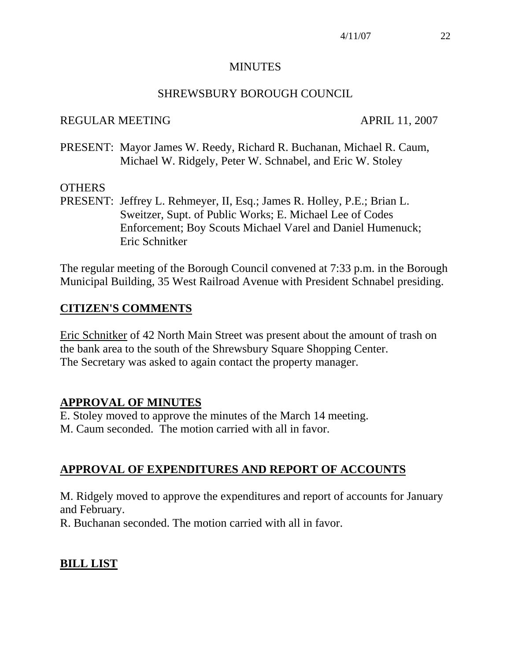#### MINUTES

#### SHREWSBURY BOROUGH COUNCIL

#### REGULAR MEETING APRIL 11, 2007

PRESENT: Mayor James W. Reedy, Richard R. Buchanan, Michael R. Caum, Michael W. Ridgely, Peter W. Schnabel, and Eric W. Stoley

#### **OTHERS**

PRESENT: Jeffrey L. Rehmeyer, II, Esq.; James R. Holley, P.E.; Brian L. Sweitzer, Supt. of Public Works; E. Michael Lee of Codes Enforcement; Boy Scouts Michael Varel and Daniel Humenuck; Eric Schnitker

The regular meeting of the Borough Council convened at 7:33 p.m. in the Borough Municipal Building, 35 West Railroad Avenue with President Schnabel presiding.

# **CITIZEN'S COMMENTS**

Eric Schnitker of 42 North Main Street was present about the amount of trash on the bank area to the south of the Shrewsbury Square Shopping Center. The Secretary was asked to again contact the property manager.

# **APPROVAL OF MINUTES**

E. Stoley moved to approve the minutes of the March 14 meeting. M. Caum seconded. The motion carried with all in favor.

# **APPROVAL OF EXPENDITURES AND REPORT OF ACCOUNTS**

M. Ridgely moved to approve the expenditures and report of accounts for January and February.

R. Buchanan seconded. The motion carried with all in favor.

# **BILL LIST**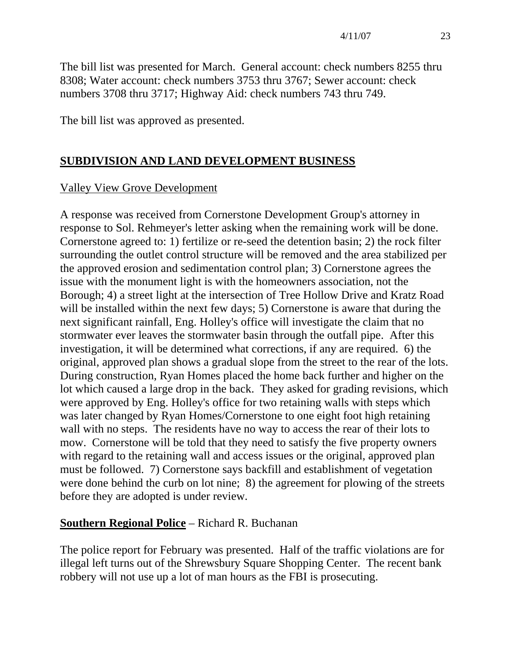The bill list was presented for March. General account: check numbers 8255 thru 8308; Water account: check numbers 3753 thru 3767; Sewer account: check numbers 3708 thru 3717; Highway Aid: check numbers 743 thru 749.

The bill list was approved as presented.

# **SUBDIVISION AND LAND DEVELOPMENT BUSINESS**

# Valley View Grove Development

A response was received from Cornerstone Development Group's attorney in response to Sol. Rehmeyer's letter asking when the remaining work will be done. Cornerstone agreed to: 1) fertilize or re-seed the detention basin; 2) the rock filter surrounding the outlet control structure will be removed and the area stabilized per the approved erosion and sedimentation control plan; 3) Cornerstone agrees the issue with the monument light is with the homeowners association, not the Borough; 4) a street light at the intersection of Tree Hollow Drive and Kratz Road will be installed within the next few days; 5) Cornerstone is aware that during the next significant rainfall, Eng. Holley's office will investigate the claim that no stormwater ever leaves the stormwater basin through the outfall pipe. After this investigation, it will be determined what corrections, if any are required. 6) the original, approved plan shows a gradual slope from the street to the rear of the lots. During construction, Ryan Homes placed the home back further and higher on the lot which caused a large drop in the back. They asked for grading revisions, which were approved by Eng. Holley's office for two retaining walls with steps which was later changed by Ryan Homes/Cornerstone to one eight foot high retaining wall with no steps. The residents have no way to access the rear of their lots to mow. Cornerstone will be told that they need to satisfy the five property owners with regard to the retaining wall and access issues or the original, approved plan must be followed. 7) Cornerstone says backfill and establishment of vegetation were done behind the curb on lot nine; 8) the agreement for plowing of the streets before they are adopted is under review.

# **Southern Regional Police** – Richard R. Buchanan

The police report for February was presented. Half of the traffic violations are for illegal left turns out of the Shrewsbury Square Shopping Center. The recent bank robbery will not use up a lot of man hours as the FBI is prosecuting.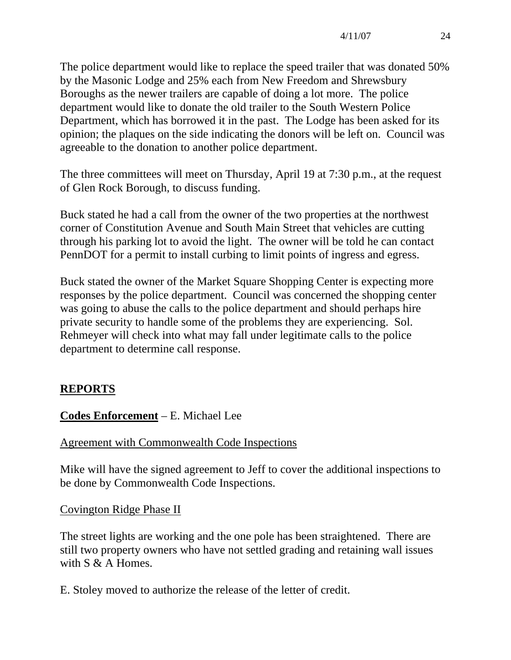The police department would like to replace the speed trailer that was donated 50% by the Masonic Lodge and 25% each from New Freedom and Shrewsbury Boroughs as the newer trailers are capable of doing a lot more. The police department would like to donate the old trailer to the South Western Police Department, which has borrowed it in the past. The Lodge has been asked for its opinion; the plaques on the side indicating the donors will be left on. Council was agreeable to the donation to another police department.

The three committees will meet on Thursday, April 19 at 7:30 p.m., at the request of Glen Rock Borough, to discuss funding.

Buck stated he had a call from the owner of the two properties at the northwest corner of Constitution Avenue and South Main Street that vehicles are cutting through his parking lot to avoid the light. The owner will be told he can contact PennDOT for a permit to install curbing to limit points of ingress and egress.

Buck stated the owner of the Market Square Shopping Center is expecting more responses by the police department. Council was concerned the shopping center was going to abuse the calls to the police department and should perhaps hire private security to handle some of the problems they are experiencing. Sol. Rehmeyer will check into what may fall under legitimate calls to the police department to determine call response.

# **REPORTS**

# **Codes Enforcement** – E. Michael Lee

# Agreement with Commonwealth Code Inspections

Mike will have the signed agreement to Jeff to cover the additional inspections to be done by Commonwealth Code Inspections.

# Covington Ridge Phase II

The street lights are working and the one pole has been straightened. There are still two property owners who have not settled grading and retaining wall issues with  $S \& A$  Homes.

E. Stoley moved to authorize the release of the letter of credit.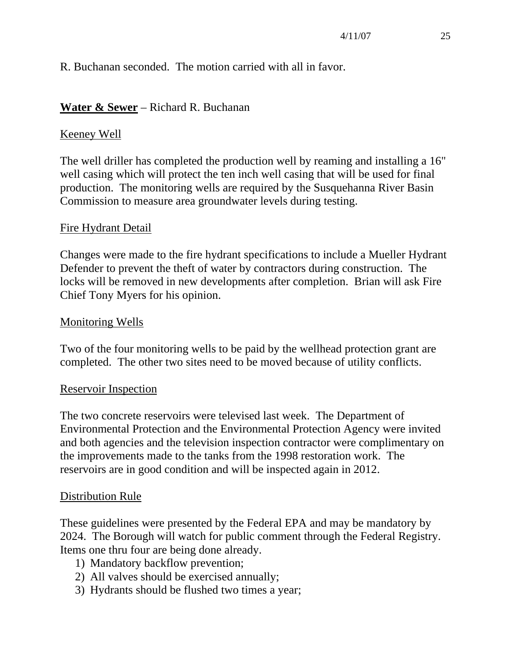R. Buchanan seconded. The motion carried with all in favor.

#### **Water & Sewer** – Richard R. Buchanan

#### Keeney Well

The well driller has completed the production well by reaming and installing a 16" well casing which will protect the ten inch well casing that will be used for final production. The monitoring wells are required by the Susquehanna River Basin Commission to measure area groundwater levels during testing.

#### Fire Hydrant Detail

Changes were made to the fire hydrant specifications to include a Mueller Hydrant Defender to prevent the theft of water by contractors during construction. The locks will be removed in new developments after completion. Brian will ask Fire Chief Tony Myers for his opinion.

#### Monitoring Wells

Two of the four monitoring wells to be paid by the wellhead protection grant are completed. The other two sites need to be moved because of utility conflicts.

#### Reservoir Inspection

The two concrete reservoirs were televised last week. The Department of Environmental Protection and the Environmental Protection Agency were invited and both agencies and the television inspection contractor were complimentary on the improvements made to the tanks from the 1998 restoration work. The reservoirs are in good condition and will be inspected again in 2012.

#### Distribution Rule

These guidelines were presented by the Federal EPA and may be mandatory by 2024. The Borough will watch for public comment through the Federal Registry. Items one thru four are being done already.

- 1) Mandatory backflow prevention;
- 2) All valves should be exercised annually;
- 3) Hydrants should be flushed two times a year;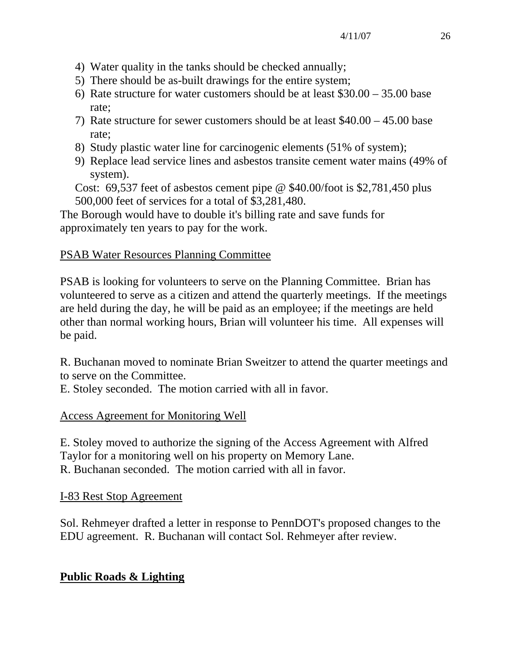- 4) Water quality in the tanks should be checked annually;
- 5) There should be as-built drawings for the entire system;
- 6) Rate structure for water customers should be at least \$30.00 35.00 base rate;
- 7) Rate structure for sewer customers should be at least \$40.00 45.00 base rate;
- 8) Study plastic water line for carcinogenic elements (51% of system);
- 9) Replace lead service lines and asbestos transite cement water mains (49% of system).
- Cost: 69,537 feet of asbestos cement pipe @ \$40.00/foot is \$2,781,450 plus 500,000 feet of services for a total of \$3,281,480.

The Borough would have to double it's billing rate and save funds for approximately ten years to pay for the work.

# PSAB Water Resources Planning Committee

PSAB is looking for volunteers to serve on the Planning Committee. Brian has volunteered to serve as a citizen and attend the quarterly meetings. If the meetings are held during the day, he will be paid as an employee; if the meetings are held other than normal working hours, Brian will volunteer his time. All expenses will be paid.

R. Buchanan moved to nominate Brian Sweitzer to attend the quarter meetings and to serve on the Committee.

E. Stoley seconded. The motion carried with all in favor.

# Access Agreement for Monitoring Well

E. Stoley moved to authorize the signing of the Access Agreement with Alfred Taylor for a monitoring well on his property on Memory Lane. R. Buchanan seconded. The motion carried with all in favor.

# I-83 Rest Stop Agreement

Sol. Rehmeyer drafted a letter in response to PennDOT's proposed changes to the EDU agreement. R. Buchanan will contact Sol. Rehmeyer after review.

# **Public Roads & Lighting**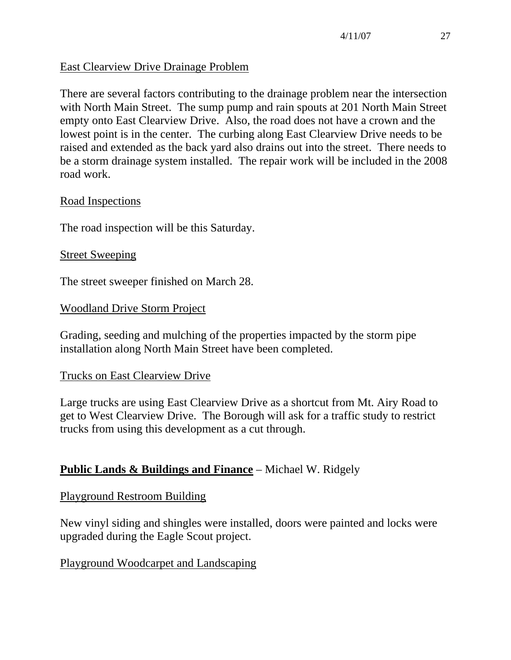# East Clearview Drive Drainage Problem

There are several factors contributing to the drainage problem near the intersection with North Main Street. The sump pump and rain spouts at 201 North Main Street empty onto East Clearview Drive. Also, the road does not have a crown and the lowest point is in the center. The curbing along East Clearview Drive needs to be raised and extended as the back yard also drains out into the street. There needs to be a storm drainage system installed. The repair work will be included in the 2008 road work.

#### Road Inspections

The road inspection will be this Saturday.

#### **Street Sweeping**

The street sweeper finished on March 28.

#### Woodland Drive Storm Project

Grading, seeding and mulching of the properties impacted by the storm pipe installation along North Main Street have been completed.

#### Trucks on East Clearview Drive

Large trucks are using East Clearview Drive as a shortcut from Mt. Airy Road to get to West Clearview Drive. The Borough will ask for a traffic study to restrict trucks from using this development as a cut through.

# **Public Lands & Buildings and Finance** – Michael W. Ridgely

#### Playground Restroom Building

New vinyl siding and shingles were installed, doors were painted and locks were upgraded during the Eagle Scout project.

#### Playground Woodcarpet and Landscaping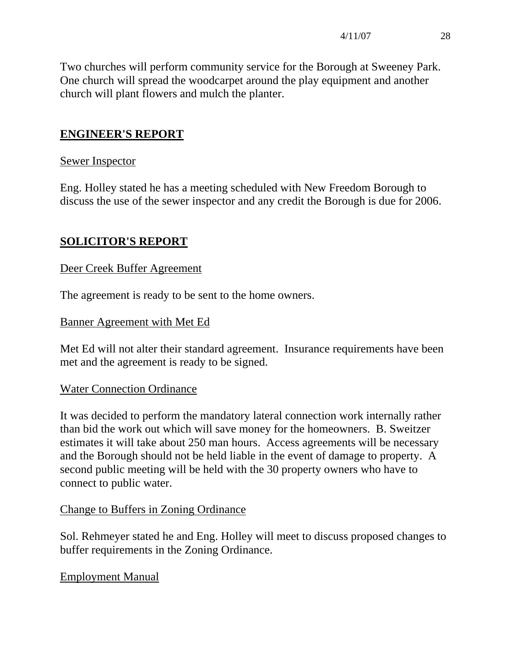Two churches will perform community service for the Borough at Sweeney Park. One church will spread the woodcarpet around the play equipment and another church will plant flowers and mulch the planter.

# **ENGINEER'S REPORT**

#### Sewer Inspector

Eng. Holley stated he has a meeting scheduled with New Freedom Borough to discuss the use of the sewer inspector and any credit the Borough is due for 2006.

# **SOLICITOR'S REPORT**

#### Deer Creek Buffer Agreement

The agreement is ready to be sent to the home owners.

#### Banner Agreement with Met Ed

Met Ed will not alter their standard agreement. Insurance requirements have been met and the agreement is ready to be signed.

# Water Connection Ordinance

It was decided to perform the mandatory lateral connection work internally rather than bid the work out which will save money for the homeowners. B. Sweitzer estimates it will take about 250 man hours. Access agreements will be necessary and the Borough should not be held liable in the event of damage to property. A second public meeting will be held with the 30 property owners who have to connect to public water.

#### Change to Buffers in Zoning Ordinance

Sol. Rehmeyer stated he and Eng. Holley will meet to discuss proposed changes to buffer requirements in the Zoning Ordinance.

# Employment Manual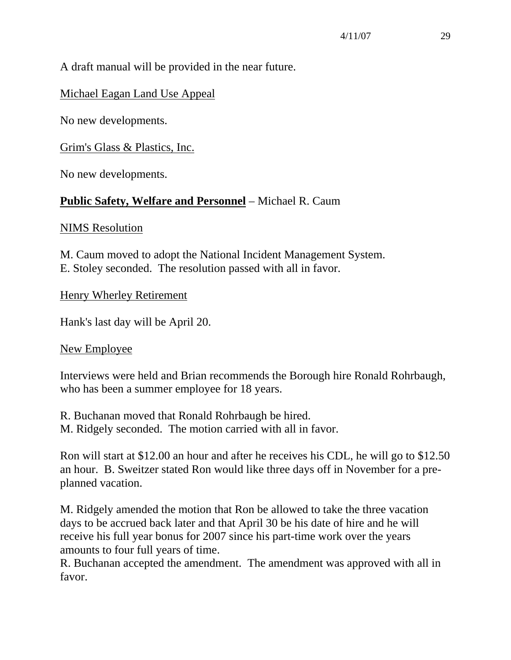# A draft manual will be provided in the near future.

# Michael Eagan Land Use Appeal

No new developments.

Grim's Glass & Plastics, Inc.

No new developments.

# **Public Safety, Welfare and Personnel** – Michael R. Caum

NIMS Resolution

M. Caum moved to adopt the National Incident Management System. E. Stoley seconded. The resolution passed with all in favor.

Henry Wherley Retirement

Hank's last day will be April 20.

# New Employee

Interviews were held and Brian recommends the Borough hire Ronald Rohrbaugh, who has been a summer employee for 18 years.

R. Buchanan moved that Ronald Rohrbaugh be hired.

M. Ridgely seconded. The motion carried with all in favor.

Ron will start at \$12.00 an hour and after he receives his CDL, he will go to \$12.50 an hour. B. Sweitzer stated Ron would like three days off in November for a preplanned vacation.

M. Ridgely amended the motion that Ron be allowed to take the three vacation days to be accrued back later and that April 30 be his date of hire and he will receive his full year bonus for 2007 since his part-time work over the years amounts to four full years of time.

R. Buchanan accepted the amendment. The amendment was approved with all in favor.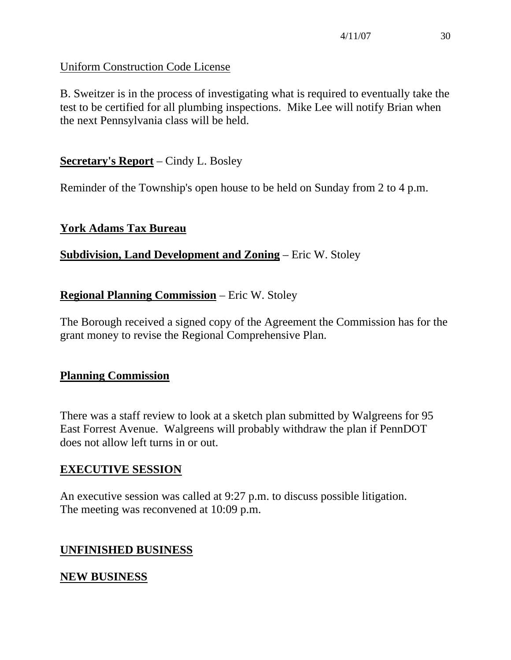# Uniform Construction Code License

B. Sweitzer is in the process of investigating what is required to eventually take the test to be certified for all plumbing inspections. Mike Lee will notify Brian when the next Pennsylvania class will be held.

# **Secretary's Report** – Cindy L. Bosley

Reminder of the Township's open house to be held on Sunday from 2 to 4 p.m.

# **York Adams Tax Bureau**

# **Subdivision, Land Development and Zoning** – Eric W. Stoley

# **Regional Planning Commission** – Eric W. Stoley

The Borough received a signed copy of the Agreement the Commission has for the grant money to revise the Regional Comprehensive Plan.

# **Planning Commission**

There was a staff review to look at a sketch plan submitted by Walgreens for 95 East Forrest Avenue. Walgreens will probably withdraw the plan if PennDOT does not allow left turns in or out.

# **EXECUTIVE SESSION**

An executive session was called at 9:27 p.m. to discuss possible litigation. The meeting was reconvened at 10:09 p.m.

# **UNFINISHED BUSINESS**

# **NEW BUSINESS**